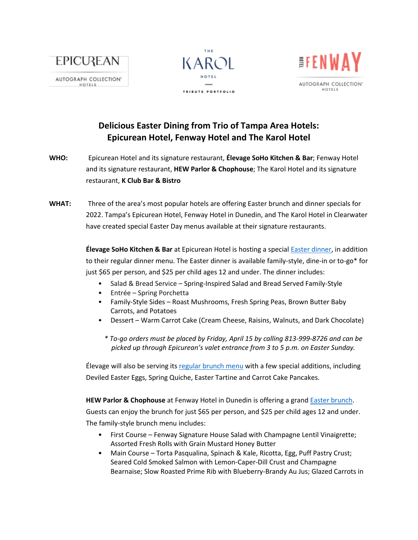

HOTELS





## **Delicious Easter Dining from Trio of Tampa Area Hotels: Epicurean Hotel, Fenway Hotel and The Karol Hotel**

- **WHO:** Epicurean Hotel and its signature restaurant, **Élevage SoHo Kitchen & Bar**; Fenway Hotel and its signature restaurant, **HEW Parlor & Chophouse**; The Karol Hotel and its signature restaurant, **K Club Bar & Bistro**
- **WHAT:** Three of the area's most popular hotels are offering Easter brunch and dinner specials for 2022. Tampa's Epicurean Hotel, Fenway Hotel in Dunedin, and The Karol Hotel in Clearwater have created special Easter Day menus available at their signature restaurants.

**Élevage SoHo Kitchen & Bar** at Epicurean Hotel is hosting a special [Easter dinner,](https://nam02.safelinks.protection.outlook.com/?url=https%3A%2F%2Fprotect-us.mimecast.com%2Fs%2FHRMMCo27OvUr6wpAU1NzwK%3Fdomain%3Depicureanhotel.com%2F&data=04%7C01%7Cjjimenez%40mainsailhotels.com%7Caa9dfcac98194e9ab47708da0e6ccf59%7C06c40785e50c404081f17ca5ef22c445%7C0%7C0%7C637838157758778602%7CUnknown%7CTWFpbGZsb3d8eyJWIjoiMC4wLjAwMDAiLCJQIjoiV2luMzIiLCJBTiI6Ik1haWwiLCJXVCI6Mn0%3D%7C3000&sdata=CCZ9IZ%2FUBtNanyj40q%2Fy2TcroQ%2BA%2BXb6OImnWP5wQCI%3D&reserved=0) in addition to their regular dinner menu. The Easter dinner is available family-style, dine-in or to-go\* for just \$65 per person, and \$25 per child ages 12 and under. The dinner includes:

- Salad & Bread Service Spring-Inspired Salad and Bread Served Family-Style
- Entrée Spring Porchetta
- Family-Style Sides Roast Mushrooms, Fresh Spring Peas, Brown Butter Baby Carrots, and Potatoes
- Dessert Warm Carrot Cake (Cream Cheese, Raisins, Walnuts, and Dark Chocolate)
	- *\* To-go orders must be placed by Friday, April 15 by calling 813-999-8726 and can be picked up through Epicurean's valet entrance from 3 to 5 p.m. on Easter Sunday.*

Élevage will also be serving its [regular brunch menu](https://nam02.safelinks.protection.outlook.com/?url=https%3A%2F%2Fprotect-us.mimecast.com%2Fs%2FAgUBCpY7zRtnpwEguDW9Mj%3Fdomain%3Depicureanhotel.com%2F&data=04%7C01%7Cjjimenez%40mainsailhotels.com%7Caa9dfcac98194e9ab47708da0e6ccf59%7C06c40785e50c404081f17ca5ef22c445%7C0%7C0%7C637838157758778602%7CUnknown%7CTWFpbGZsb3d8eyJWIjoiMC4wLjAwMDAiLCJQIjoiV2luMzIiLCJBTiI6Ik1haWwiLCJXVCI6Mn0%3D%7C3000&sdata=gX8C%2FfXXtlVhA6Q4YeZtrJTdP2TPw7T0xW07zOjN74Y%3D&reserved=0) with a few special additions, including Deviled Easter Eggs, Spring Quiche, Easter Tartine and Carrot Cake Pancakes.

**HEW Parlor & Chophouse** at Fenway Hotel in Dunedin is offering a gran[d Easter brunch.](https://nam02.safelinks.protection.outlook.com/?url=https%3A%2F%2Fprotect-us.mimecast.com%2Fs%2FDfdlCqxD2Vf8J26guQz9aB%3Fdomain%3Dfenwayhotel.com%2F&data=04%7C01%7Cjjimenez%40mainsailhotels.com%7Caa9dfcac98194e9ab47708da0e6ccf59%7C06c40785e50c404081f17ca5ef22c445%7C0%7C0%7C637838157758778602%7CUnknown%7CTWFpbGZsb3d8eyJWIjoiMC4wLjAwMDAiLCJQIjoiV2luMzIiLCJBTiI6Ik1haWwiLCJXVCI6Mn0%3D%7C3000&sdata=9Va4oW%2Ftf1DnwSUzJI%2BFadhbT1VBpOfklARGjHF%2BjA8%3D&reserved=0) Guests can enjoy the brunch for just \$65 per person, and \$25 per child ages 12 and under. The family-style brunch menu includes:

- First Course Fenway Signature House Salad with Champagne Lentil Vinaigrette; Assorted Fresh Rolls with Grain Mustard Honey Butter
- Main Course Torta Pasqualina, Spinach & Kale, Ricotta, Egg, Puff Pastry Crust; Seared Cold Smoked Salmon with Lemon-Caper-Dill Crust and Champagne Bearnaise; Slow Roasted Prime Rib with Blueberry-Brandy Au Jus; Glazed Carrots in